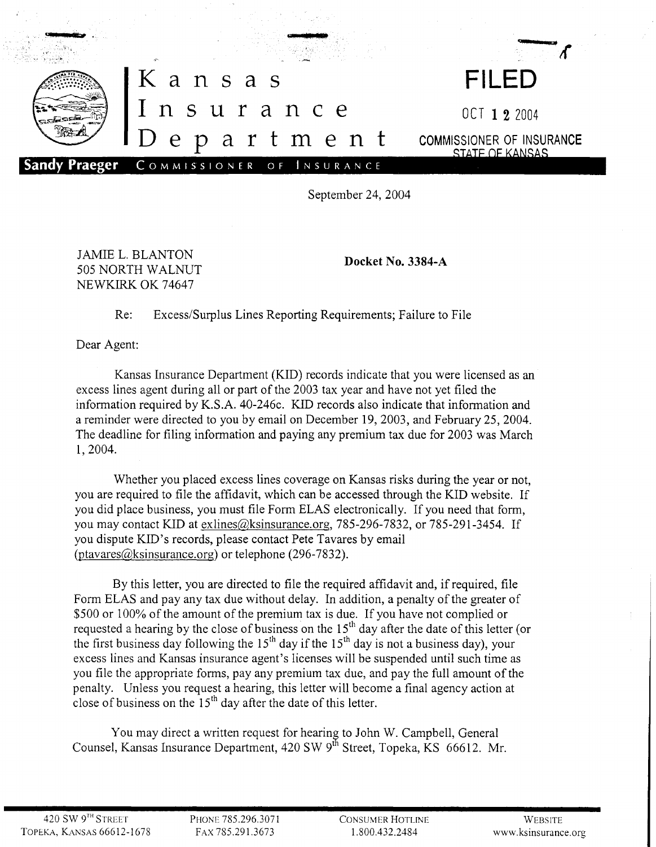

September 24, 2004

JAMIE L. BLANTON 505 NORTH WALNUT NEWKIRK OK 74647

Docket No. 3384-A

## Re: Excess/Surplus Lines Reporting Requirements; Failure to File

Dear Agent:

Kansas Insurance Department (KID) records indicate that you were licensed as an excess lines agent during all or part of the 2003 tax year and have not yet filed the information required by K.S.A. 40-246c. KID records also indicate that information and a reminder were directed to you by email on December 19,2003, and February 25,2004. The deadline for filing information and paying any premium tax due for 2003 was March 1,2004.

Whether you placed excess lines coverage on Kansas risks during the year or not, you are required to file the affidavit, which can be accessed through the KID website. If you did place business, you must file Form ELAS electronically. If you need that form, you may contact KID at exlines@ksinsurance.org, 785-296-7832, or 785-291-3454. If you dispute KID's records, please contact Pete Tavares by email (ptavares@ksinsurance.org) or telephone (296-7832).

By this letter, you are directed to file the required affidavit and, if required, file Form ELAS and pay any tax due without delay. In addition, a penalty of the greater of \$500 or 100% of the amount of the premium tax is due. If you have not complied or requested a hearing by the close of business on the  $15<sup>th</sup>$  day after the date of this letter (or the first business day following the  $15<sup>th</sup>$  day if the  $15<sup>th</sup>$  day is not a business day), your excess lines and Kansas insurance agent's licenses will be suspended until such time as you file the appropriate forms, pay any premium tax due, and pay the full amount of the penalty. Unless you request a hearing, this letter will become a final agency action at close of business on the  $15<sup>th</sup>$  day after the date of this letter.

You may direct a written request for hearing to John W. Campbell, General Counsel, Kansas Insurance Department, 420 SW 9<sup>th</sup> Street, Topeka, KS 66612. Mr.